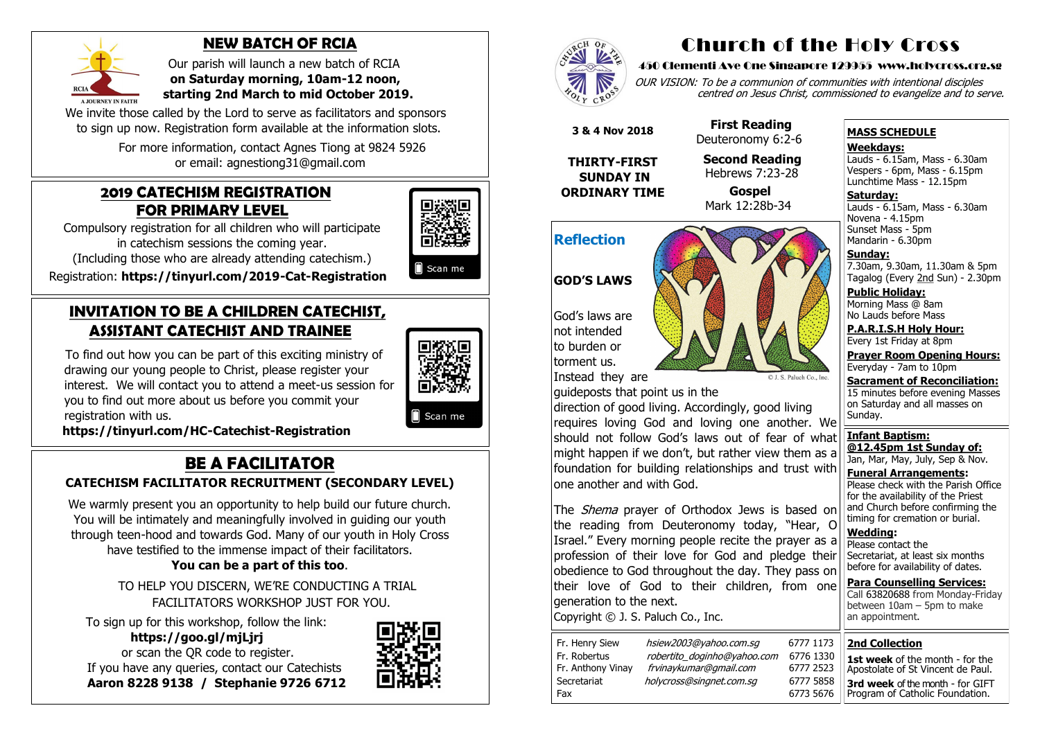#### **2019 CATECHISM REGISTRATION FOR PRIMARY LEVEL**

Compulsory registration for all children who will participate in catechism sessions the coming year.

(Including those who are already attending catechism.)

Registration: **[https://tinyurl.com/2019](https://tinyurl.com/2019-Cat-Registration)-Cat-Registration**

# **INVITATION TO BE A CHILDREN CATECHIST, ASSISTANT CATECHIST AND TRAINEE**

To find out how you can be part of this exciting ministry of drawing our young people to Christ, please register your interest. We will contact you to attend a meet-us session for you to find out more about us before you commit your registration with us.



Scan me

We warmly present you an opportunity to help build our future church. You will be intimately and meaningfully involved in guiding our youth through teen-hood and towards God. Many of our youth in Holy Cross have testified to the immense impact of their facilitators.

 **[https://tinyurl.com/HC](https://tinyurl.com/HC-Catechist-Registration)-Catechist-Registration**

# **BE A FACILITATOR**

### **CATECHISM FACILITATOR RECRUITMENT (SECONDARY LEVEL)**

We invite those called by the Lord to serve as facilitators and sponsors to sign up now. Registration form available at the information slots.

OUR VISION: To be a communion of communities with intentional disciples centred on Jesus Christ, commissioned to evangelize and to serve.

#### **You can be a part of this too**.

 TO HELP YOU DISCERN, WE'RE CONDUCTING A TRIAL FACILITATORS WORKSHOP JUST FOR YOU.

**Saturday:** Lauds - 6.15am, Mass - 6.30am Novena - 4.15pm Sunset Mass - 5pm Mandarin - 6.30pm

 To sign up for this workshop, follow the link:  **https://goo.gl/mjLjrj**  or scan the QR code to register. If you have any queries, contact our Catechists  **Aaron 8228 9138 / Stephanie 9726 6712**







# **NEW BATCH OF RCIA**

 Our parish will launch a new batch of RCIA  **on Saturday morning, 10am-12 noon, starting 2nd March to mid October 2019.**

> **Para Counselling Services:** Call [63820688](tel:+6563820688) from Monday-Friday between 10am – 5pm to make an appointment.

 For more information, contact Agnes Tiong at 9824 5926 or email: agnestiong31@gmail.com

# Church of the Holy Cross

#### 450 Clementi Ave One Singapore 129955 www.holycross.org.sg

6773 5676

The *Shema* prayer of Orthodox Jews is based on the reading from Deuteronomy today, "Hear, O Israel." Every morning people recite the prayer as a profession of their love for God and pledge their obedience to God throughout the day. They pass on their love of God to their children, from one generation to the next.

#### **MASS SCHEDULE**

**Weekdays:**

Lauds - 6.15am, Mass - 6.30am Vespers - 6pm, Mass - 6.15pm Lunchtime Mass - 12.15pm

**Sunday:** 7.30am, 9.30am, 11.30am & 5pm Tagalog (Every 2nd Sun) - 2.30pm

**Public Holiday:**  Morning Mass @ 8am No Lauds before Mass

**P.A.R.I.S.H Holy Hour:** Every 1st Friday at 8pm

**Prayer Room Opening Hours:** Everyday - 7am to 10pm

**Sacrament of Reconciliation:** 15 minutes before evening Masses on Saturday and all masses on Sunday.

**Infant Baptism: @12.45pm 1st Sunday of:** Jan, Mar, May, July, Sep & Nov.

**Funeral Arrangements:**  Please check with the Parish Office for the availability of the Priest and Church before confirming the timing for cremation or burial.

**Wedding:**  Please contact the Secretariat, at least six months before for availability of dates.

# **Reflection**

#### **GOD'S LAWS**

God's laws are not intended to burden or torment us.



Instead they are

guideposts that point us in the

direction of good living. Accordingly, good living requires loving God and loving one another. We should not follow God's laws out of fear of what might happen if we don't, but rather view them as a foundation for building relationships and trust with one another and with God.

Copyright © J. S. Paluch Co., Inc.

| Fr. Henry Siew    | hsiew20   |
|-------------------|-----------|
| Fr. Robertus      | robertito |
| Fr. Anthony Vinay | frvinayk  |
| Secretariat       | holycross |
| Fax               |           |

03@yahoo.com.sg 6777 o doginho@yahoo.com 6776 Fr. Anthony Vinay frvinaykumar@gmail.com 6777 2523 s@singnet.com.sg 6777

 **3 & 4 Nov 2018**

**THIRTY-FIRST SUNDAY IN ORDINARY TIME**

 **First Reading** Deuteronomy 6:2-6

 **Second Reading** Hebrews 7:23-28

 **Gospel** Mark 12:28b-34

| 1173 | <b>2nd Collection</b>                                                       |
|------|-----------------------------------------------------------------------------|
| 1330 |                                                                             |
| 2523 | <b>1st week</b> of the month - for the<br>Apostolate of St Vincent de Paul. |
| 5858 | 3rd week of the month - for GIFT                                            |
| 5676 | Program of Catholic Foundation.                                             |